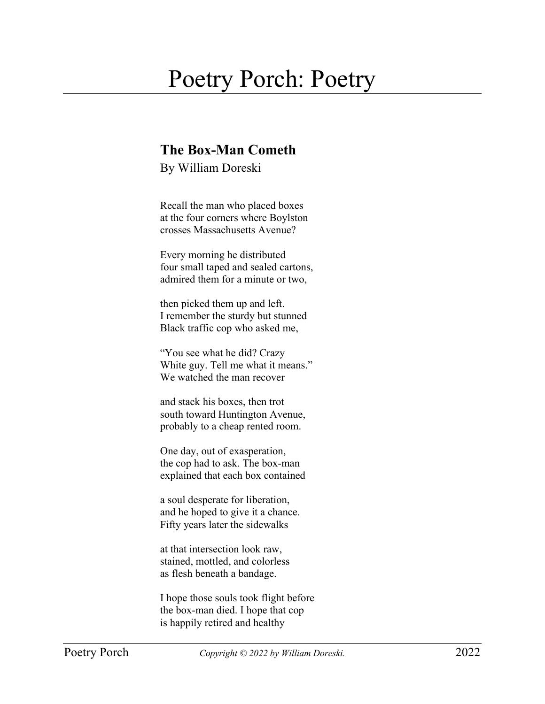## Poetry Porch: Poetry

## **The Box-Man Cometh**

By William Doreski

Recall the man who placed boxes at the four corners where Boylston crosses Massachusetts Avenue?

Every morning he distributed four small taped and sealed cartons, admired them for a minute or two,

then picked them up and left. I remember the sturdy but stunned Black traffic cop who asked me,

"You see what he did? Crazy White guy. Tell me what it means." We watched the man recover

and stack his boxes, then trot south toward Huntington Avenue, probably to a cheap rented room.

One day, out of exasperation, the cop had to ask. The box-man explained that each box contained

a soul desperate for liberation, and he hoped to give it a chance. Fifty years later the sidewalks

at that intersection look raw, stained, mottled, and colorless as flesh beneath a bandage.

I hope those souls took flight before the box-man died. I hope that cop is happily retired and healthy